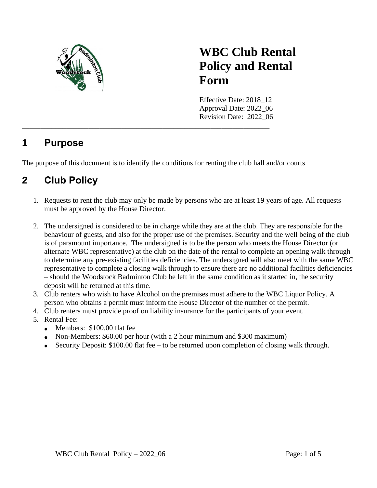

# **WBC Club Rental Policy and Rental Form**

Effective Date: 2018\_12 Approval Date: 2022\_06 Revision Date: 2022\_06 \_\_\_\_\_\_\_\_\_\_\_\_\_\_\_\_\_\_\_\_\_\_\_\_\_\_\_\_\_\_\_\_\_\_\_\_\_\_\_\_\_\_\_\_\_\_\_\_\_\_\_\_\_\_\_\_\_\_\_\_\_\_\_\_\_\_\_

### **1 Purpose**

The purpose of this document is to identify the conditions for renting the club hall and/or courts

## **2 Club Policy**

- 1. Requests to rent the club may only be made by persons who are at least 19 years of age. All requests must be approved by the House Director.
- 2. The undersigned is considered to be in charge while they are at the club. They are responsible for the behaviour of guests, and also for the proper use of the premises. Security and the well being of the club is of paramount importance. The undersigned is to be the person who meets the House Director (or alternate WBC representative) at the club on the date of the rental to complete an opening walk through to determine any pre-existing facilities deficiencies. The undersigned will also meet with the same WBC representative to complete a closing walk through to ensure there are no additional facilities deficiencies – should the Woodstock Badminton Club be left in the same condition as it started in, the security deposit will be returned at this time.
- 3. Club renters who wish to have Alcohol on the premises must adhere to the WBC Liquor Policy. A person who obtains a permit must inform the House Director of the number of the permit.
- 4. Club renters must provide proof on liability insurance for the participants of your event.
- 5. Rental Fee:
	- Members: \$100.00 flat fee
	- Non-Members: \$60.00 per hour (with a 2 hour minimum and \$300 maximum)
	- Security Deposit: \$100.00 flat fee to be returned upon completion of closing walk through.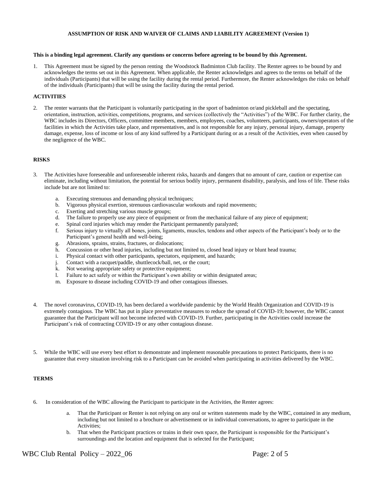#### **ASSUMPTION OF RISK AND WAIVER OF CLAIMS AND LIABILITY AGREEMENT (Version 1)**

#### **This is a binding legal agreement. Clarify any questions or concerns before agreeing to be bound by this Agreement.**

1. This Agreement must be signed by the person renting the Woodstock Badminton Club facility. The Renter agrees to be bound by and acknowledges the terms set out in this Agreement. When applicable, the Renter acknowledges and agrees to the terms on behalf of the individuals (Participants) that will be using the facility during the rental period. Furthermore, the Renter acknowledges the risks on behalf of the individuals (Participants) that will be using the facility during the rental period.

#### **ACTIVITIES**

2. The renter warrants that the Participant is voluntarily participating in the sport of badminton or/and pickleball and the spectating, orientation, instruction, activities, competitions, programs, and services (collectively the "Activities") of the WBC. For further clarity, the WBC includes its Directors, Officers, committee members, members, employees, coaches, volunteers, participants, owners/operators of the facilities in which the Activities take place, and representatives, and is not responsible for any injury, personal injury, damage, property damage, expense, loss of income or loss of any kind suffered by a Participant during or as a result of the Activities, even when caused by the negligence of the WBC.

#### **RISKS**

- 3. The Activities have foreseeable and unforeseeable inherent risks, hazards and dangers that no amount of care, caution or expertise can eliminate, including without limitation, the potential for serious bodily injury, permanent disability, paralysis, and loss of life. These risks include but are not limited to:
	- a. Executing strenuous and demanding physical techniques;
	- b. Vigorous physical exertion, strenuous cardiovascular workouts and rapid movements;
	- c. Exerting and stretching various muscle groups;
	- d. The failure to properly use any piece of equipment or from the mechanical failure of any piece of equipment;
	- e. Spinal cord injuries which may render the Participant permanently paralyzed;
	- f. Serious injury to virtually all bones, joints, ligaments, muscles, tendons and other aspects of the Participant's body or to the Participant's general health and well-being;
	- g. Abrasions, sprains, strains, fractures, or dislocations;
	- h. Concussion or other head injuries, including but not limited to, closed head injury or blunt head trauma;
	- i. Physical contact with other participants, spectators, equipment, and hazards;
	- j. Contact with a racquet/paddle, shuttlecock/ball, net, or the court;
	- k. Not wearing appropriate safety or protective equipment;
	- l. Failure to act safely or within the Participant's own ability or within designated areas;
	- m. Exposure to disease including COVID-19 and other contagious illnesses.
- 4. The novel coronavirus, COVID-19, has been declared a worldwide pandemic by the World Health Organization and COVID-19 is extremely contagious. The WBC has put in place preventative measures to reduce the spread of COVID-19; however, the WBC cannot guarantee that the Participant will not become infected with COVID-19. Further, participating in the Activities could increase the Participant's risk of contracting COVID-19 or any other contagious disease.
- 5. While the WBC will use every best effort to demonstrate and implement reasonable precautions to protect Participants, there is no guarantee that every situation involving risk to a Participant can be avoided when participating in activities delivered by the WBC.

#### **TERMS**

- 6. In consideration of the WBC allowing the Participant to participate in the Activities, the Renter agrees:
	- a. That the Participant or Renter is not relying on any oral or written statements made by the WBC, contained in any medium, including but not limited to a brochure or advertisement or in individual conversations, to agree to participate in the Activities;
	- b. That when the Participant practices or trains in their own space, the Participant is responsible for the Participant's surroundings and the location and equipment that is selected for the Participant;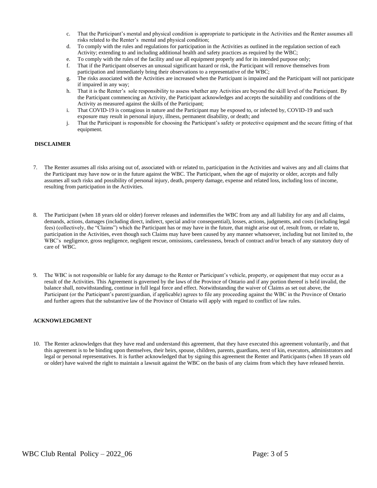- c. That the Participant's mental and physical condition is appropriate to participate in the Activities and the Renter assumes all risks related to the Renter's mental and physical condition;
- d. To comply with the rules and regulations for participation in the Activities as outlined in the regulation section of each Activity; extending to and including additional health and safety practices as required by the WBC;
- e. To comply with the rules of the facility and use all equipment properly and for its intended purpose only;
- f. That if the Participant observes an unusual significant hazard or risk, the Participant will remove themselves from participation and immediately bring their observations to a representative of the WBC;
- g. The risks associated with the Activities are increased when the Participant is impaired and the Participant will not participate if impaired in any way;
- h. That it is the Renter's sole responsibility to assess whether any Activities are beyond the skill level of the Participant. By the Participant commencing an Activity, the Participant acknowledges and accepts the suitability and conditions of the Activity as measured against the skills of the Participant;
- i. That COVID-19 is contagious in nature and the Participant may be exposed to, or infected by, COVID-19 and such exposure may result in personal injury, illness, permanent disability, or death; and
- j. That the Participant is responsible for choosing the Participant's safety or protective equipment and the secure fitting of that equipment.

#### **DISCLAIMER**

- 7. The Renter assumes all risks arising out of, associated with or related to, participation in the Activities and waives any and all claims that the Participant may have now or in the future against the WBC. The Participant, when the age of majority or older, accepts and fully assumes all such risks and possibility of personal injury, death, property damage, expense and related loss, including loss of income, resulting from participation in the Activities.
- 8. The Participant (when 18 years old or older) forever releases and indemnifies the WBC from any and all liability for any and all claims, demands, actions, damages (including direct, indirect, special and/or consequential), losses, actions, judgments, and costs (including legal fees) (collectively, the "Claims") which the Participant has or may have in the future, that might arise out of, result from, or relate to, participation in the Activities, even though such Claims may have been caused by any manner whatsoever, including but not limited to, the WBC's negligence, gross negligence, negligent rescue, omissions, carelessness, breach of contract and/or breach of any statutory duty of care of WBC.
- 9. The WBC is not responsible or liable for any damage to the Renter or Participant's vehicle, property, or equipment that may occur as a result of the Activities. This Agreement is governed by the laws of the Province of Ontario and if any portion thereof is held invalid, the balance shall, notwithstanding, continue in full legal force and effect. Notwithstanding the waiver of Claims as set out above, the Participant (or the Participant's parent/guardian, if applicable) agrees to file any proceeding against the WBC in the Province of Ontario and further agrees that the substantive law of the Province of Ontario will apply with regard to conflict of law rules.

#### **ACKNOWLEDGMENT**

10. The Renter acknowledges that they have read and understand this agreement, that they have executed this agreement voluntarily, and that this agreement is to be binding upon themselves, their heirs, spouse, children, parents, guardians, next of kin, executors, administrators and legal or personal representatives. It is further acknowledged that by signing this agreement the Renter and Participants (when 18 years old or older) have waived the right to maintain a lawsuit against the WBC on the basis of any claims from which they have released herein.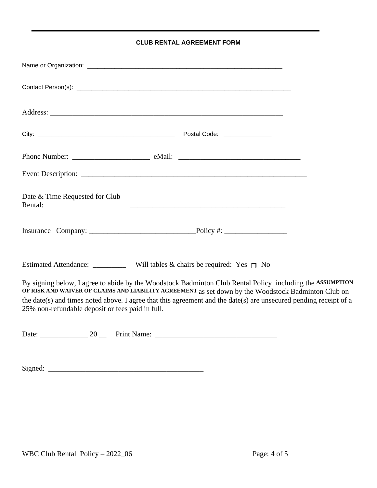#### **CLUB RENTAL AGREEMENT FORM**

| Date & Time Requested for Club<br>Rental:                                             | <u> 2008 - Jan James James Jan James James James James James James James James James James James James James Jam</u>                                                                                                                                                                                                                  |
|---------------------------------------------------------------------------------------|---------------------------------------------------------------------------------------------------------------------------------------------------------------------------------------------------------------------------------------------------------------------------------------------------------------------------------------|
|                                                                                       |                                                                                                                                                                                                                                                                                                                                       |
| Estimated Attendance: ____________ Will tables & chairs be required: Yes $\bigcap$ No |                                                                                                                                                                                                                                                                                                                                       |
| 25% non-refundable deposit or fees paid in full.                                      | By signing below, I agree to abide by the Woodstock Badminton Club Rental Policy including the ASSUMPTION<br>OF RISK AND WAIVER OF CLAIMS AND LIABILITY AGREEMENT as set down by the Woodstock Badminton Club on<br>the date(s) and times noted above. I agree that this agreement and the date(s) are unsecured pending receipt of a |
|                                                                                       |                                                                                                                                                                                                                                                                                                                                       |

 $Signed:$